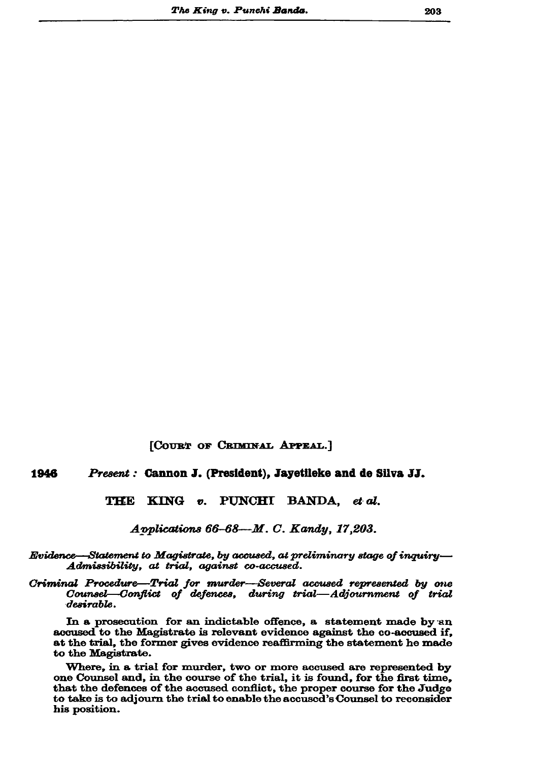[COURT OF CRIMINAL APPEAL.]

## 1946 Present: Cannon J. (President), Jayetileke and de Silva JJ.

KING v. PUNCHI BANDA. et al. THE

Applications 66-68-M. C. Kandy, 17,203.

Evidence—Statement to Magistrate, by accused, at preliminary stage of inquiry— Admissibility, at trial, against co-accused.

Criminal Procedure—Trial for murder—Several accused represented by one Counsel—Conflict of defences, during trial—Adjournment of trial desirable.

In a prosecution for an indictable offence, a statement made by an accused to the Magistrate is relevant evidence against the co-accused if, at the trial, the former gives evidence reaffirming the statement he made to the Magistrate.

Where, in a trial for murder, two or more accused are represented by one Counsel and, in the course of the trial, it is found, for the first time, that the defences of the accused conflict, the proper course for the Judge to take is to adjourn the trial to enable the accused's Counsel to reconsider his position.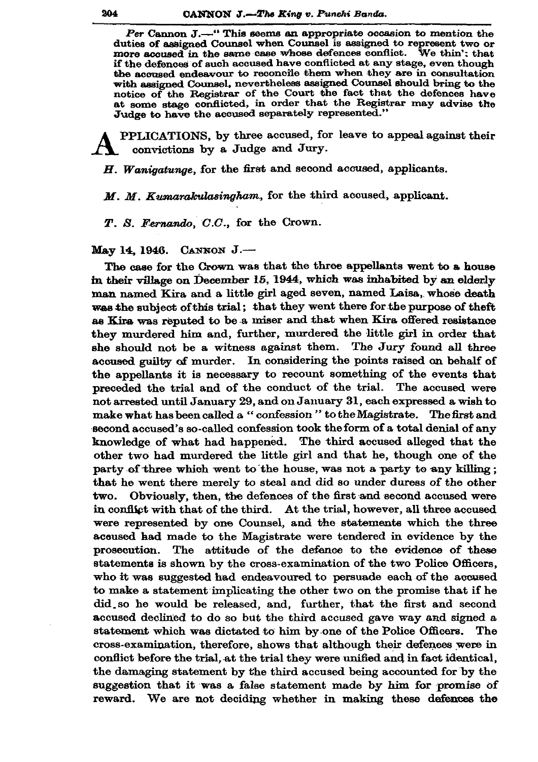Per Cannon J.—" This seems an appropriate occasion to mention the duties of assigned Counsel when Counsel is assigned to represent two or more accused in the same case whose defences conflict. We thin't that if the defences of such accused have conflicted at any stage, even though the accused endeavour to reconcile them when they are in consultation with assigned Counsel, nevertheless assigned Counsel should bring to the notice of the Registrar of the Court the fact that the defences have at some stage conflicted, in order that the Registrar may advise the Judge to have the accused separately represented."

PPLICATIONS, by three accused, for leave to appeal against their convictions by a Judge and Jury.

H. Wanigatunge, for the first and second accused, applicants.

M. M. Kumarakulasingham, for the third acoused, applicant.

T. S. Fernando, C.C., for the Crown.

May 14, 1946. CANNON J .-

The case for the Crown was that the three appellants went to a house in their village on December 15, 1944, which was inhabited by an elderly man named Kira and a little girl aged seven, named Laisa, whose death was the subject of this trial; that they went there for the purpose of theft as Kira was reputed to be a miser and that when Kira offered resistance they murdered him and, further, murdered the little girl in order that she should not be a witness against them. The Jury found all three accused guilty of murder. In considering the points raised on behalf of the appellants it is necessary to recount something of the events that preceded the trial and of the conduct of the trial. The accused were not arrested until January 29, and on January 31, each expressed a wish to make what has been called a "confession" to the Magistrate. The first and second accused's so-called confession took the form of a total denial of any knowledge of what had happened. The third accused alleged that the other two had murdered the little girl and that he, though one of the party of three which went to the house, was not a party to any killing; that he went there merely to steal and did so under duress of the other two. Obviously, then, the defences of the first and second accused were in conflict with that of the third. At the trial, however, all three accused were represented by one Counsel, and the statements which the three accused had made to the Magistrate were tendered in evidence by the prosecution. The attitude of the defence to the evidence of these statements is shown by the cross-examination of the two Police Officers, who it was suggested had endeavoured to persuade each of the accused to make a statement implicating the other two on the promise that if he did so he would be released, and, further, that the first and second accused declined to do so but the third accused gave way and signed a statement which was dictated to him by one of the Police Officers. The cross-examination, therefore, shows that although their defences were in conflict before the trial, at the trial they were unified and in fact identical, the damaging statement by the third accused being accounted for by the suggestion that it was a false statement made by him for promise of reward. We are not deciding whether in making these defences the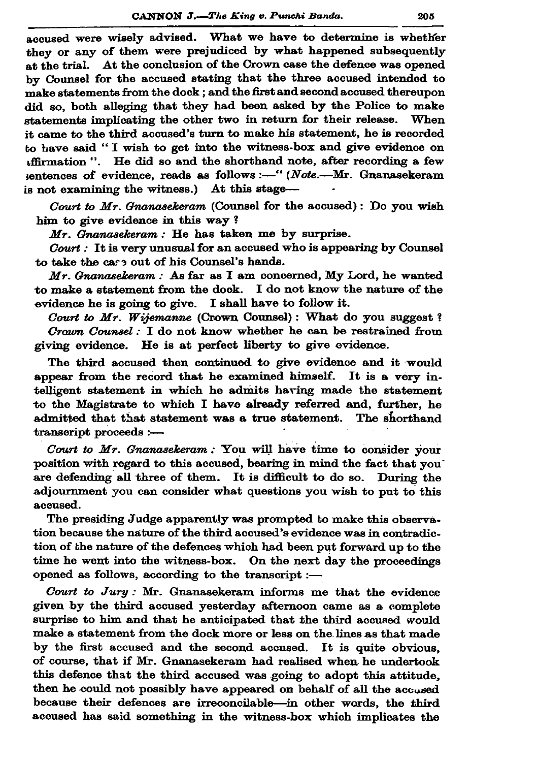accused were wisely advised. What we have to determine is whether they or any of them were prejudiced by what happened subsequently at the trial. At the conclusion of the Crown case the defence was opened by Counsel for the accused stating that the three accused intended to make statements from the dock ; and the first and second accused thereupon did so, both alleging that they had been asked by the Police to make statements implicating the other two in return for their release. When it came to the third accused's turn to make his statement, he is recorded to have said "I wish to get into the witness-box and give evidence on affirmation". He did so and the shorthand note, after recording a few sentences of evidence, reads as follows :-- " (Note.--Mr. Gnanasekeram is not examining the witness.) At this stage-

Court to  $Mr$ . Gnanasekeram (Counsel for the accused): Do you wish him to give evidence in this way?

Mr. Gnanasekeram : He has taken me by surprise.

Court : It is very unusual for an accused who is appearing by Counsel to take the case out of his Counsel's hands.

 $Mr.$  Gnanasekeram : As far as I am concerned, My Lord, he wanted to make a statement from the dock. I do not know the nature of the evidence he is going to give. I shall have to follow it.

Court to Mr. Wijemanne (Crown Counsel): What do you suggest? Crown Counsel: I do not know whether he can be restrained from giving evidence. He is at perfect liberty to give evidence.

The third accused then continued to give evidence and it would appear from the record that he examined himself. It is a very intelligent statement in which he admits having made the statement to the Magistrate to which I have already referred and, further, he admitted that that statement was a true statement. The shorthand transcript proceeds :-

Court to Mr. Gnanasekeram : You will have time to consider your position with regard to this accused, bearing in mind the fact that you are defending all three of them. It is difficult to do so. During the adjournment you can consider what questions you wish to put to this accused.

The presiding Judge apparently was prompted to make this observation because the nature of the third accused's evidence was in contradiction of the nature of the defences which had been put forward up to the time he went into the witness-box. On the next day the proceedings opened as follows, according to the transcript :-

Court to Jury : Mr. Gnanasekeram informs me that the evidence given by the third accused yesterday afternoon came as a complete surprise to him and that he anticipated that the third accused would make a statement from the dock more or less on the lines as that made by the first accused and the second accused. It is quite obvious, of course, that if Mr. Gnanasekeram had realised when he undertook this defence that the third accused was going to adopt this attitude. then he could not possibly have appeared on behalf of all the accused because their defences are irreconcilable-in other words, the third accused has said something in the witness-box which implicates the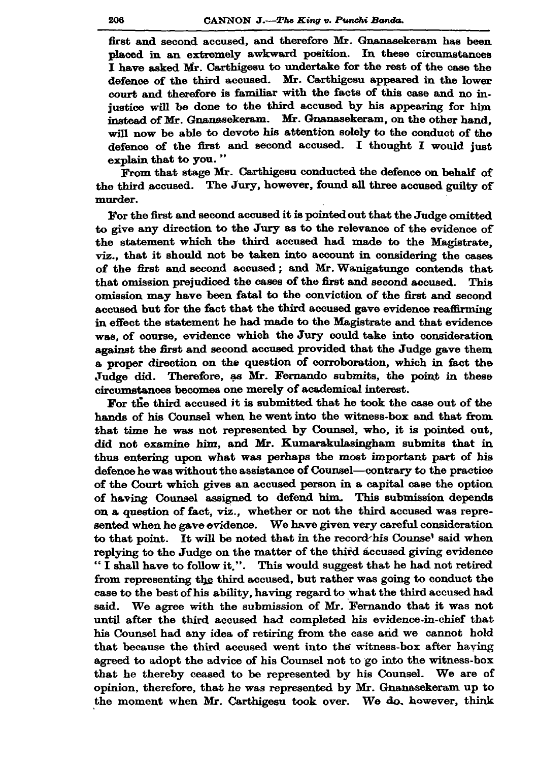first and second accused, and therefore Mr. Gnanasekeram has been placed in an extremely awkward position. In these circumstances I have asked Mr. Carthigesu to undertake for the rest of the case the defence of the third accused. Mr. Carthigesu appeared in the lower court and therefore is familiar with the facts of this case and no injustice will be done to the third accused by his appearing for him instead of Mr. Gnanasekeram. Mr. Gnanasekeram, on the other hand. will now be able to devote his attention solely to the conduct of the defence of the first and second accused. I thought I would just explain that to you."

From that stage Mr. Carthigesu conducted the defence on behalf of the third accused. The Jury, however, found all three accused guilty of murder.

For the first and second accused it is pointed out that the Judge omitted to give any direction to the Jury as to the relevance of the evidence of the statement which the third accused had made to the Magistrate. viz., that it should not be taken into account in considering the cases of the first and second accused; and Mr. Wanigatunge contends that that omission prejudiced the cases of the first and second accused. This omission may have been fatal to the conviction of the first and second accused but for the fact that the third accused gave evidence reaffirming in effect the statement he had made to the Magistrate and that evidence was, of course, evidence which the Jury could take into consideration against the first and second accused provided that the Judge gave them a proper direction on the question of corroboration, which in fact the Judge did. Therefore, as Mr. Fernando submits, the point in these circumstances becomes one merely of academical interest.

For the third accused it is submitted that he took the case out of the hands of his Counsel when he went into the witness-box and that from that time he was not represented by Counsel, who, it is pointed out, did not examine him, and Mr. Kumarakulasingham submits that in thus entering upon what was perhaps the most important part of his defence he was without the assistance of Counsel—contrary to the practice of the Court which gives an accused person in a capital case the option of having Counsel assigned to defend him. This submission depends on a question of fact, viz., whether or not the third accused was represented when he gave evidence. We have given very careful consideration to that point. It will be noted that in the record his Counse' said when replying to the Judge on the matter of the third accused giving evidence "I shall have to follow it.". This would suggest that he had not retired from representing the third accused, but rather was going to conduct the case to the best of his ability, having regard to what the third accused had said. We agree with the submission of Mr. Fernando that it was not until after the third accused had completed his evidence-in-chief that his Counsel had any idea of retiring from the case and we cannot hold that because the third accused went into the witness-box after having agreed to adopt the advice of his Counsel not to go into the witness-box that he thereby ceased to be represented by his Counsel. We are of opinion, therefore, that he was represented by Mr. Gnanasekeram up to the moment when Mr. Carthigesu took over. We do, however, think